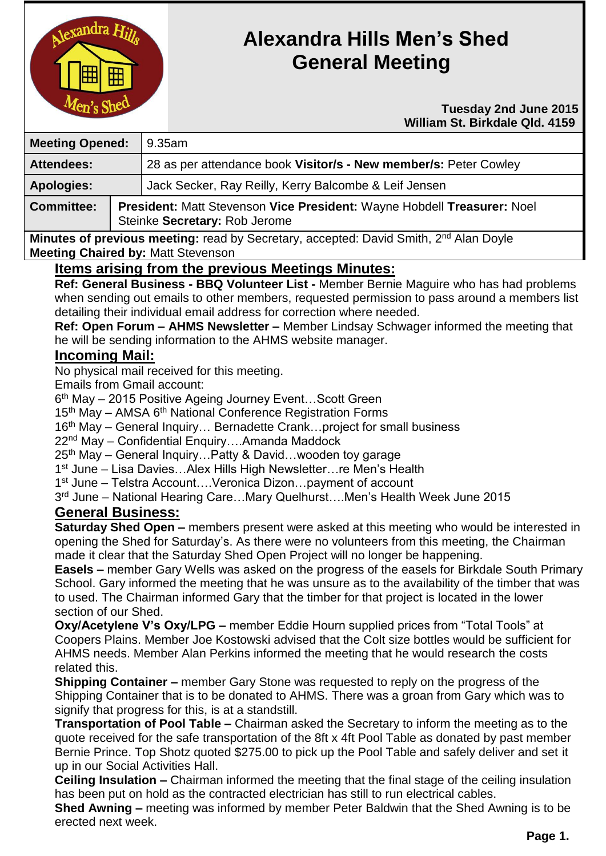

# **Alexandra Hills Men's Shed General Meeting**

#### **Tuesday 2nd June 2015 William St. Birkdale Qld. 4159**

| <b>Meeting Opened:</b> |  | 9.35am                                                                                                   |  |
|------------------------|--|----------------------------------------------------------------------------------------------------------|--|
| <b>Attendees:</b>      |  | 28 as per attendance book Visitor/s - New member/s: Peter Cowley                                         |  |
| <b>Apologies:</b>      |  | Jack Secker, Ray Reilly, Kerry Balcombe & Leif Jensen                                                    |  |
| <b>Committee:</b>      |  | President: Matt Stevenson Vice President: Wayne Hobdell Treasurer: Noel<br>Steinke Secretary: Rob Jerome |  |

**Minutes of previous meeting:** read by Secretary, accepted: David Smith, 2<sup>nd</sup> Alan Doyle **Meeting Chaired by:** Matt Stevenson

## **Items arising from the previous Meetings Minutes:**

**Ref: General Business - BBQ Volunteer List -** Member Bernie Maguire who has had problems when sending out emails to other members, requested permission to pass around a members list detailing their individual email address for correction where needed.

**Ref: Open Forum – AHMS Newsletter –** Member Lindsay Schwager informed the meeting that he will be sending information to the AHMS website manager.

## **Incoming Mail:**

No physical mail received for this meeting.

Emails from Gmail account:

6<sup>th</sup> May – 2015 Positive Ageing Journey Event...Scott Green

15<sup>th</sup> May – AMSA 6<sup>th</sup> National Conference Registration Forms

16<sup>th</sup> May – General Inquiry... Bernadette Crank...project for small business

22nd May – Confidential Enquiry….Amanda Maddock

25th May – General Inquiry…Patty & David…wooden toy garage

1<sup>st</sup> June – Lisa Davies...Alex Hills High Newsletter...re Men's Health

1 st June – Telstra Account….Veronica Dizon…payment of account

3 rd June – National Hearing Care…Mary Quelhurst….Men's Health Week June 2015

## **General Business:**

**Saturday Shed Open –** members present were asked at this meeting who would be interested in opening the Shed for Saturday's. As there were no volunteers from this meeting, the Chairman made it clear that the Saturday Shed Open Project will no longer be happening.

**Easels –** member Gary Wells was asked on the progress of the easels for Birkdale South Primary School. Gary informed the meeting that he was unsure as to the availability of the timber that was to used. The Chairman informed Gary that the timber for that project is located in the lower section of our Shed.

**Oxy/Acetylene V's Oxy/LPG –** member Eddie Hourn supplied prices from "Total Tools" at Coopers Plains. Member Joe Kostowski advised that the Colt size bottles would be sufficient for AHMS needs. Member Alan Perkins informed the meeting that he would research the costs related this.

**Shipping Container –** member Gary Stone was requested to reply on the progress of the Shipping Container that is to be donated to AHMS. There was a groan from Gary which was to signify that progress for this, is at a standstill.

**Transportation of Pool Table –** Chairman asked the Secretary to inform the meeting as to the quote received for the safe transportation of the 8ft x 4ft Pool Table as donated by past member Bernie Prince. Top Shotz quoted \$275.00 to pick up the Pool Table and safely deliver and set it up in our Social Activities Hall.

**Ceiling Insulation –** Chairman informed the meeting that the final stage of the ceiling insulation has been put on hold as the contracted electrician has still to run electrical cables.

**Shed Awning –** meeting was informed by member Peter Baldwin that the Shed Awning is to be erected next week.